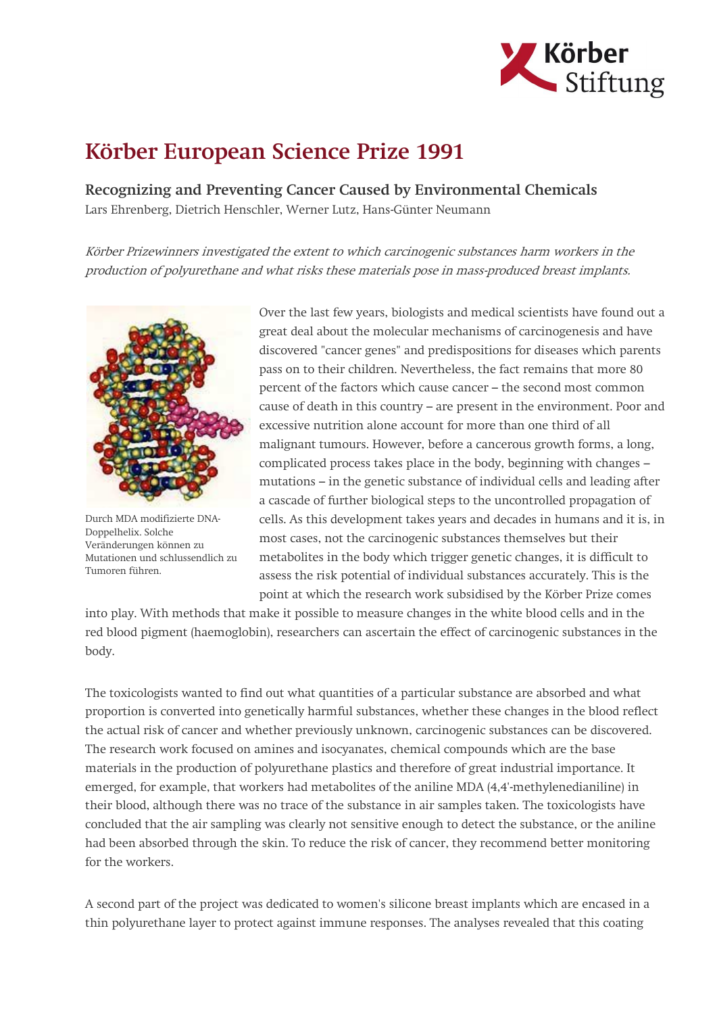

## Körber European Science Prize 1991

Recognizing and Preventing Cancer Caused by Environmental Chemicals Lars Ehrenberg, Dietrich Henschler, Werner Lutz, Hans-Günter Neumann

Körber Prizewinners investigated the extent to which carcinogenic substances harm workers in the production of polyurethane and what risks these materials pose in mass-produced breast implants.



Durch MDA modifizierte DNA-Doppelhelix. Solche Veränderungen können zu Mutationen und schlussendlich zu Tumoren führen.

Over the last few years, biologists and medical scientists have found out a great deal about the molecular mechanisms of carcinogenesis and have discovered "cancer genes" and predispositions for diseases which parents pass on to their children. Nevertheless, the fact remains that more 80 percent of the factors which cause cancer – the second most common cause of death in this country – are present in the environment. Poor and excessive nutrition alone account for more than one third of all malignant tumours. However, before a cancerous growth forms, a long, complicated process takes place in the body, beginning with changes – mutations – in the genetic substance of individual cells and leading after a cascade of further biological steps to the uncontrolled propagation of cells. As this development takes years and decades in humans and it is, in most cases, not the carcinogenic substances themselves but their metabolites in the body which trigger genetic changes, it is difficult to assess the risk potential of individual substances accurately. This is the point at which the research work subsidised by the Körber Prize comes

into play. With methods that make it possible to measure changes in the white blood cells and in the red blood pigment (haemoglobin), researchers can ascertain the effect of carcinogenic substances in the body.

The toxicologists wanted to find out what quantities of a particular substance are absorbed and what proportion is converted into genetically harmful substances, whether these changes in the blood reflect the actual risk of cancer and whether previously unknown, carcinogenic substances can be discovered. The research work focused on amines and isocyanates, chemical compounds which are the base materials in the production of polyurethane plastics and therefore of great industrial importance. It emerged, for example, that workers had metabolites of the aniline MDA (4,4'-methylenedianiline) in their blood, although there was no trace of the substance in air samples taken. The toxicologists have concluded that the air sampling was clearly not sensitive enough to detect the substance, or the aniline had been absorbed through the skin. To reduce the risk of cancer, they recommend better monitoring for the workers.

A second part of the project was dedicated to women's silicone breast implants which are encased in a thin polyurethane layer to protect against immune responses. The analyses revealed that this coating